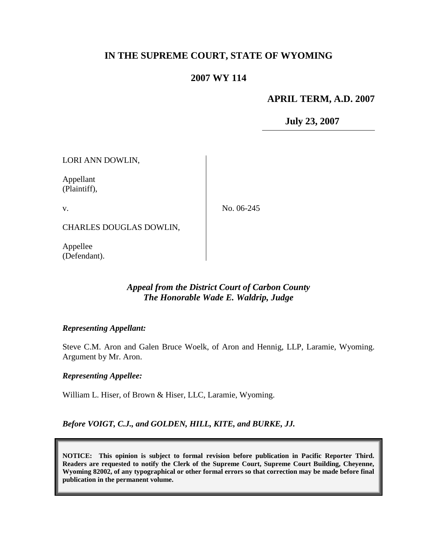# **IN THE SUPREME COURT, STATE OF WYOMING**

# **2007 WY 114**

## **APRIL TERM, A.D. 2007**

**July 23, 2007**

LORI ANN DOWLIN,

Appellant (Plaintiff),

v.

No. 06-245

CHARLES DOUGLAS DOWLIN,

Appellee (Defendant).

## *Appeal from the District Court of Carbon County The Honorable Wade E. Waldrip, Judge*

## *Representing Appellant:*

Steve C.M. Aron and Galen Bruce Woelk, of Aron and Hennig, LLP, Laramie, Wyoming. Argument by Mr. Aron.

## *Representing Appellee:*

William L. Hiser, of Brown & Hiser, LLC, Laramie, Wyoming.

*Before VOIGT, C.J., and GOLDEN, HILL, KITE, and BURKE, JJ.*

**NOTICE: This opinion is subject to formal revision before publication in Pacific Reporter Third. Readers are requested to notify the Clerk of the Supreme Court, Supreme Court Building, Cheyenne, Wyoming 82002, of any typographical or other formal errors so that correction may be made before final publication in the permanent volume.**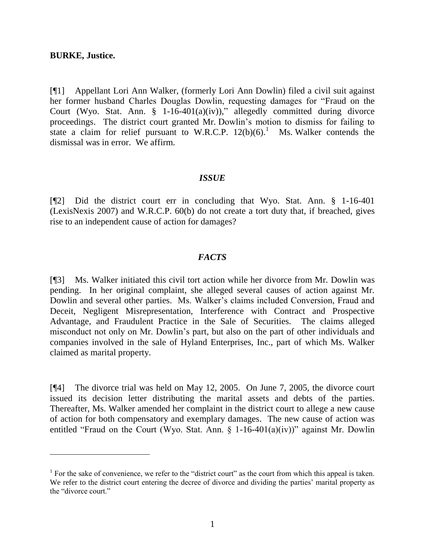#### **BURKE, Justice.**

 $\overline{a}$ 

[¶1] Appellant Lori Ann Walker, (formerly Lori Ann Dowlin) filed a civil suit against her former husband Charles Douglas Dowlin, requesting damages for "Fraud on the Court (Wyo. Stat. Ann. § 1-16-401(a)(iv))," allegedly committed during divorce proceedings. The district court granted Mr. Dowlin's motion to dismiss for failing to state a claim for relief pursuant to W.R.C.P.  $12(b)(6)$ .<sup>1</sup> Ms. Walker contends the dismissal was in error. We affirm.

#### *ISSUE*

[¶2] Did the district court err in concluding that Wyo. Stat. Ann. § 1-16-401 (LexisNexis 2007) and W.R.C.P. 60(b) do not create a tort duty that, if breached, gives rise to an independent cause of action for damages?

## *FACTS*

[¶3] Ms. Walker initiated this civil tort action while her divorce from Mr. Dowlin was pending. In her original complaint, she alleged several causes of action against Mr. Dowlin and several other parties. Ms. Walker's claims included Conversion, Fraud and Deceit, Negligent Misrepresentation, Interference with Contract and Prospective Advantage, and Fraudulent Practice in the Sale of Securities. The claims alleged misconduct not only on Mr. Dowlin's part, but also on the part of other individuals and companies involved in the sale of Hyland Enterprises, Inc., part of which Ms. Walker claimed as marital property.

[¶4] The divorce trial was held on May 12, 2005. On June 7, 2005, the divorce court issued its decision letter distributing the marital assets and debts of the parties. Thereafter, Ms. Walker amended her complaint in the district court to allege a new cause of action for both compensatory and exemplary damages. The new cause of action was entitled "Fraud on the Court (Wyo. Stat. Ann. § 1-16-401(a)(iv))" against Mr. Dowlin

<sup>&</sup>lt;sup>1</sup> For the sake of convenience, we refer to the "district court" as the court from which this appeal is taken. We refer to the district court entering the decree of divorce and dividing the parties' marital property as the "divorce court."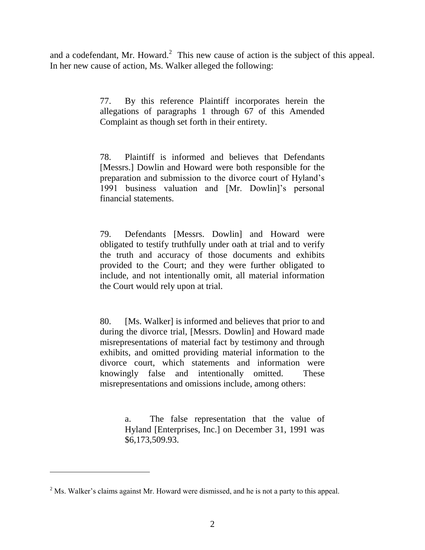and a codefendant, Mr. Howard. $<sup>2</sup>$  This new cause of action is the subject of this appeal.</sup> In her new cause of action, Ms. Walker alleged the following:

> 77. By this reference Plaintiff incorporates herein the allegations of paragraphs 1 through 67 of this Amended Complaint as though set forth in their entirety.

> 78. Plaintiff is informed and believes that Defendants [Messrs.] Dowlin and Howard were both responsible for the preparation and submission to the divorce court of Hyland's 1991 business valuation and [Mr. Dowlin]'s personal financial statements.

> 79. Defendants [Messrs. Dowlin] and Howard were obligated to testify truthfully under oath at trial and to verify the truth and accuracy of those documents and exhibits provided to the Court; and they were further obligated to include, and not intentionally omit, all material information the Court would rely upon at trial.

> 80. [Ms. Walker] is informed and believes that prior to and during the divorce trial, [Messrs. Dowlin] and Howard made misrepresentations of material fact by testimony and through exhibits, and omitted providing material information to the divorce court, which statements and information were knowingly false and intentionally omitted. These misrepresentations and omissions include, among others:

> > a. The false representation that the value of Hyland [Enterprises, Inc.] on December 31, 1991 was \$6,173,509.93.

 $<sup>2</sup>$  Ms. Walker's claims against Mr. Howard were dismissed, and he is not a party to this appeal.</sup>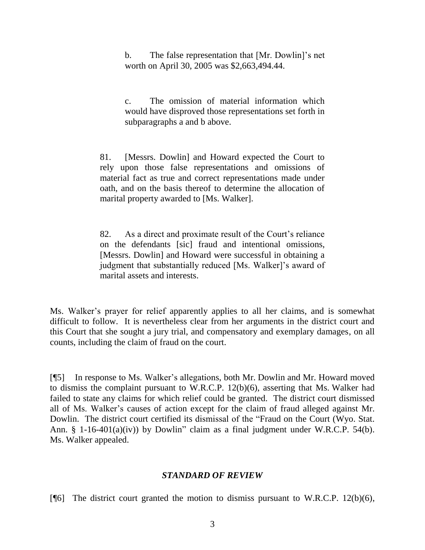b. The false representation that [Mr. Dowlin]'s net worth on April 30, 2005 was \$2,663,494.44.

c. The omission of material information which would have disproved those representations set forth in subparagraphs a and b above.

81. [Messrs. Dowlin] and Howard expected the Court to rely upon those false representations and omissions of material fact as true and correct representations made under oath, and on the basis thereof to determine the allocation of marital property awarded to [Ms. Walker].

82. As a direct and proximate result of the Court's reliance on the defendants [sic] fraud and intentional omissions, [Messrs. Dowlin] and Howard were successful in obtaining a judgment that substantially reduced [Ms. Walker]'s award of marital assets and interests.

Ms. Walker's prayer for relief apparently applies to all her claims, and is somewhat difficult to follow. It is nevertheless clear from her arguments in the district court and this Court that she sought a jury trial, and compensatory and exemplary damages, on all counts, including the claim of fraud on the court.

[¶5] In response to Ms. Walker's allegations, both Mr. Dowlin and Mr. Howard moved to dismiss the complaint pursuant to W.R.C.P. 12(b)(6), asserting that Ms. Walker had failed to state any claims for which relief could be granted. The district court dismissed all of Ms. Walker's causes of action except for the claim of fraud alleged against Mr. Dowlin. The district court certified its dismissal of the "Fraud on the Court (Wyo. Stat. Ann. § 1-16-401(a)(iv)) by Dowlin" claim as a final judgment under W.R.C.P. 54(b). Ms. Walker appealed.

## *STANDARD OF REVIEW*

[ $[$ [6] The district court granted the motion to dismiss pursuant to W.R.C.P. 12(b)(6),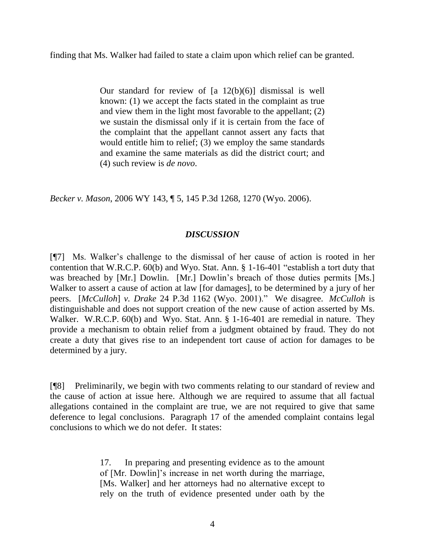finding that Ms. Walker had failed to state a claim upon which relief can be granted.

Our standard for review of  $[a \ 12(b)(6)]$  dismissal is well known: (1) we accept the facts stated in the complaint as true and view them in the light most favorable to the appellant; (2) we sustain the dismissal only if it is certain from the face of the complaint that the appellant cannot assert any facts that would entitle him to relief; (3) we employ the same standards and examine the same materials as did the district court; and (4) such review is *de novo*.

*Becker v. Mason*, 2006 WY 143, ¶ 5, 145 P.3d 1268, 1270 (Wyo. 2006).

## *DISCUSSION*

[¶7] Ms. Walker's challenge to the dismissal of her cause of action is rooted in her contention that W.R.C.P. 60(b) and Wyo. Stat. Ann. § 1-16-401 "establish a tort duty that was breached by [Mr.] Dowlin. [Mr.] Dowlin's breach of those duties permits [Ms.] Walker to assert a cause of action at law [for damages], to be determined by a jury of her peers. [*McCulloh*] *v. Drake* 24 P.3d 1162 (Wyo. 2001)." We disagree. *McCulloh* is distinguishable and does not support creation of the new cause of action asserted by Ms. Walker. W.R.C.P. 60(b) and Wyo. Stat. Ann. § 1-16-401 are remedial in nature. They provide a mechanism to obtain relief from a judgment obtained by fraud. They do not create a duty that gives rise to an independent tort cause of action for damages to be determined by a jury.

[¶8] Preliminarily, we begin with two comments relating to our standard of review and the cause of action at issue here. Although we are required to assume that all factual allegations contained in the complaint are true, we are not required to give that same deference to legal conclusions. Paragraph 17 of the amended complaint contains legal conclusions to which we do not defer. It states:

> 17. In preparing and presenting evidence as to the amount of [Mr. Dowlin]'s increase in net worth during the marriage, [Ms. Walker] and her attorneys had no alternative except to rely on the truth of evidence presented under oath by the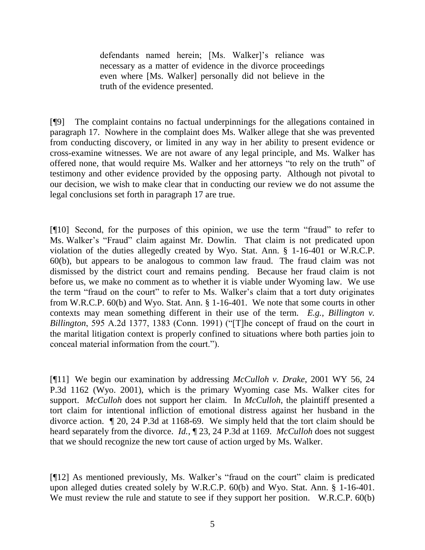defendants named herein; [Ms. Walker]'s reliance was necessary as a matter of evidence in the divorce proceedings even where [Ms. Walker] personally did not believe in the truth of the evidence presented.

[¶9] The complaint contains no factual underpinnings for the allegations contained in paragraph 17. Nowhere in the complaint does Ms. Walker allege that she was prevented from conducting discovery, or limited in any way in her ability to present evidence or cross-examine witnesses. We are not aware of any legal principle, and Ms. Walker has offered none, that would require Ms. Walker and her attorneys "to rely on the truth" of testimony and other evidence provided by the opposing party. Although not pivotal to our decision, we wish to make clear that in conducting our review we do not assume the legal conclusions set forth in paragraph 17 are true.

[¶10] Second, for the purposes of this opinion, we use the term "fraud" to refer to Ms. Walker's "Fraud" claim against Mr. Dowlin. That claim is not predicated upon violation of the duties allegedly created by Wyo. Stat. Ann. § 1-16-401 or W.R.C.P. 60(b), but appears to be analogous to common law fraud. The fraud claim was not dismissed by the district court and remains pending. Because her fraud claim is not before us, we make no comment as to whether it is viable under Wyoming law. We use the term "fraud on the court" to refer to Ms. Walker's claim that a tort duty originates from W.R.C.P. 60(b) and Wyo. Stat. Ann. § 1-16-401. We note that some courts in other contexts may mean something different in their use of the term. *E.g.*, *Billington v. Billington*, 595 A.2d 1377, 1383 (Conn. 1991) ("The concept of fraud on the court in the marital litigation context is properly confined to situations where both parties join to conceal material information from the court.").

[¶11] We begin our examination by addressing *McCulloh v. Drake*, 2001 WY 56, 24 P.3d 1162 (Wyo. 2001), which is the primary Wyoming case Ms. Walker cites for support. *McCulloh* does not support her claim. In *McCulloh*, the plaintiff presented a tort claim for intentional infliction of emotional distress against her husband in the divorce action. ¶ 20, 24 P.3d at 1168-69. We simply held that the tort claim should be heard separately from the divorce. *Id.*, ¶ 23, 24 P.3d at 1169. *McCulloh* does not suggest that we should recognize the new tort cause of action urged by Ms. Walker.

[¶12] As mentioned previously, Ms. Walker's "fraud on the court" claim is predicated upon alleged duties created solely by W.R.C.P. 60(b) and Wyo. Stat. Ann. § 1-16-401. We must review the rule and statute to see if they support her position. W.R.C.P. 60(b)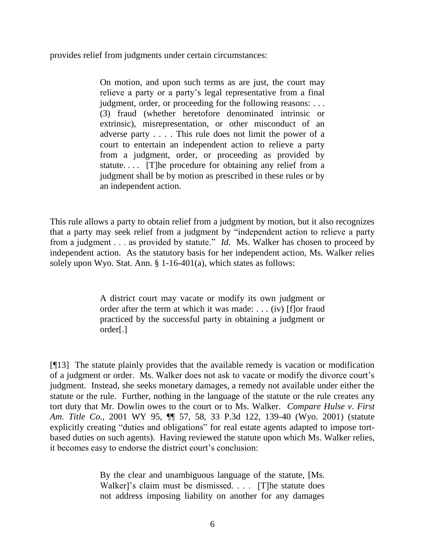provides relief from judgments under certain circumstances:

On motion, and upon such terms as are just, the court may relieve a party or a party's legal representative from a final judgment, order, or proceeding for the following reasons: ... (3) fraud (whether heretofore denominated intrinsic or extrinsic), misrepresentation, or other misconduct of an adverse party . . . . This rule does not limit the power of a court to entertain an independent action to relieve a party from a judgment, order, or proceeding as provided by statute.... [T]he procedure for obtaining any relief from a judgment shall be by motion as prescribed in these rules or by an independent action.

This rule allows a party to obtain relief from a judgment by motion, but it also recognizes that a party may seek relief from a judgment by "independent action to relieve a party from a judgment . . . as provided by statute." *Id.* Ms. Walker has chosen to proceed by independent action. As the statutory basis for her independent action, Ms. Walker relies solely upon Wyo. Stat. Ann. § 1-16-401(a), which states as follows:

> A district court may vacate or modify its own judgment or order after the term at which it was made: . . . (iv) [f]or fraud practiced by the successful party in obtaining a judgment or order[.]

[¶13] The statute plainly provides that the available remedy is vacation or modification of a judgment or order. Ms. Walker does not ask to vacate or modify the divorce court's judgment. Instead, she seeks monetary damages, a remedy not available under either the statute or the rule. Further, nothing in the language of the statute or the rule creates any tort duty that Mr. Dowlin owes to the court or to Ms. Walker. *Compare Hulse v. First Am. Title Co.*, 2001 WY 95, ¶¶ 57, 58, 33 P.3d 122, 139-40 (Wyo. 2001) (statute explicitly creating "duties and obligations" for real estate agents adapted to impose tortbased duties on such agents). Having reviewed the statute upon which Ms. Walker relies, it becomes easy to endorse the district court's conclusion:

> By the clear and unambiguous language of the statute, [Ms. Walker]'s claim must be dismissed. . . . [T]he statute does not address imposing liability on another for any damages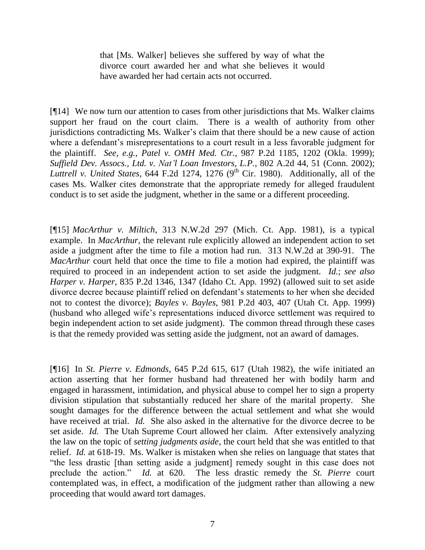that [Ms. Walker] believes she suffered by way of what the divorce court awarded her and what she believes it would have awarded her had certain acts not occurred.

[¶14] We now turn our attention to cases from other jurisdictions that Ms. Walker claims support her fraud on the court claim. There is a wealth of authority from other jurisdictions contradicting Ms. Walker's claim that there should be a new cause of action where a defendant's misrepresentations to a court result in a less favorable judgment for the plaintiff. *See, e.g.*, *Patel v. OMH Med. Ctr.*, 987 P.2d 1185, 1202 (Okla. 1999); *Suffield Dev. Assocs., Ltd. v. Nat'l Loan Investors, L.P.*, 802 A.2d 44, 51 (Conn. 2002); *Luttrell v. United States*, 644 F.2d 1274, 1276 (9<sup>th</sup> Cir. 1980). Additionally, all of the cases Ms. Walker cites demonstrate that the appropriate remedy for alleged fraudulent conduct is to set aside the judgment, whether in the same or a different proceeding.

[¶15] *MacArthur v. Miltich*, 313 N.W.2d 297 (Mich. Ct. App. 1981), is a typical example. In *MacArthur*, the relevant rule explicitly allowed an independent action to set aside a judgment after the time to file a motion had run. 313 N.W.2d at 390-91. The *MacArthur* court held that once the time to file a motion had expired, the plaintiff was required to proceed in an independent action to set aside the judgment. *Id.*; *see also Harper v. Harper*, 835 P.2d 1346, 1347 (Idaho Ct. App. 1992) (allowed suit to set aside divorce decree because plaintiff relied on defendant's statements to her when she decided not to contest the divorce); *Bayles v. Bayles*, 981 P.2d 403, 407 (Utah Ct. App. 1999) (husband who alleged wife's representations induced divorce settlement was required to begin independent action to set aside judgment). The common thread through these cases is that the remedy provided was setting aside the judgment, not an award of damages.

[¶16] In *St. Pierre v. Edmonds*, 645 P.2d 615, 617 (Utah 1982), the wife initiated an action asserting that her former husband had threatened her with bodily harm and engaged in harassment, intimidation, and physical abuse to compel her to sign a property division stipulation that substantially reduced her share of the marital property. She sought damages for the difference between the actual settlement and what she would have received at trial. *Id.* She also asked in the alternative for the divorce decree to be set aside. *Id.* The Utah Supreme Court allowed her claim. After extensively analyzing the law on the topic of *setting judgments aside*, the court held that she was entitled to that relief. *Id.* at 618-19. Ms. Walker is mistaken when she relies on language that states that "the less drastic [than setting aside a judgment] remedy sought in this case does not preclude the action." *Id.* at 620. The less drastic remedy the *St. Pierre* court contemplated was, in effect, a modification of the judgment rather than allowing a new proceeding that would award tort damages.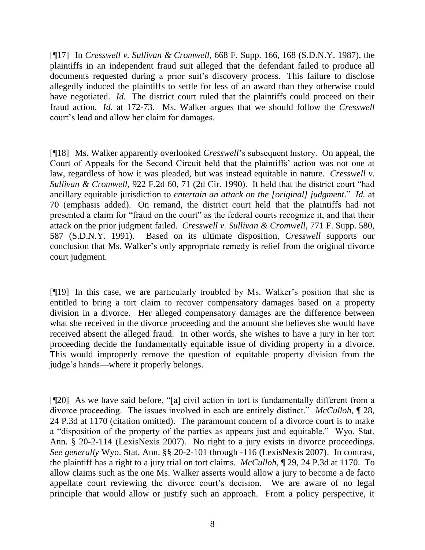[¶17] In *Cresswell v. Sullivan & Cromwell*, 668 F. Supp. 166, 168 (S.D.N.Y. 1987), the plaintiffs in an independent fraud suit alleged that the defendant failed to produce all documents requested during a prior suit's discovery process. This failure to disclose allegedly induced the plaintiffs to settle for less of an award than they otherwise could have negotiated. *Id.* The district court ruled that the plaintiffs could proceed on their fraud action. *Id.* at 172-73. Ms. Walker argues that we should follow the *Cresswell* court's lead and allow her claim for damages.

[¶18] Ms. Walker apparently overlooked *Cresswell*'s subsequent history. On appeal, the Court of Appeals for the Second Circuit held that the plaintiffs' action was not one at law, regardless of how it was pleaded, but was instead equitable in nature. *Cresswell v. Sullivan & Cromwell*, 922 F.2d 60, 71 (2d Cir. 1990). It held that the district court "had ancillary equitable jurisdiction to *entertain an attack on the [original] judgment*." *Id.* at 70 (emphasis added). On remand, the district court held that the plaintiffs had not presented a claim for "fraud on the court" as the federal courts recognize it, and that their attack on the prior judgment failed. *Cresswell v. Sullivan & Cromwell*, 771 F. Supp. 580, 587 (S.D.N.Y. 1991). Based on its ultimate disposition, *Cresswell* supports our conclusion that Ms. Walker's only appropriate remedy is relief from the original divorce court judgment.

[¶19] In this case, we are particularly troubled by Ms. Walker's position that she is entitled to bring a tort claim to recover compensatory damages based on a property division in a divorce. Her alleged compensatory damages are the difference between what she received in the divorce proceeding and the amount she believes she would have received absent the alleged fraud. In other words, she wishes to have a jury in her tort proceeding decide the fundamentally equitable issue of dividing property in a divorce. This would improperly remove the question of equitable property division from the judge's hands—where it properly belongs.

[¶20] As we have said before, "[a] civil action in tort is fundamentally different from a divorce proceeding. The issues involved in each are entirely distinct." *McCulloh*, ¶ 28, 24 P.3d at 1170 (citation omitted). The paramount concern of a divorce court is to make a "disposition of the property of the parties as appears just and equitable." Wyo. Stat. Ann. § 20-2-114 (LexisNexis 2007). No right to a jury exists in divorce proceedings. *See generally* Wyo. Stat. Ann. §§ 20-2-101 through -116 (LexisNexis 2007). In contrast, the plaintiff has a right to a jury trial on tort claims. *McCulloh*, ¶ 29, 24 P.3d at 1170. To allow claims such as the one Ms. Walker asserts would allow a jury to become a de facto appellate court reviewing the divorce court's decision. We are aware of no legal principle that would allow or justify such an approach. From a policy perspective, it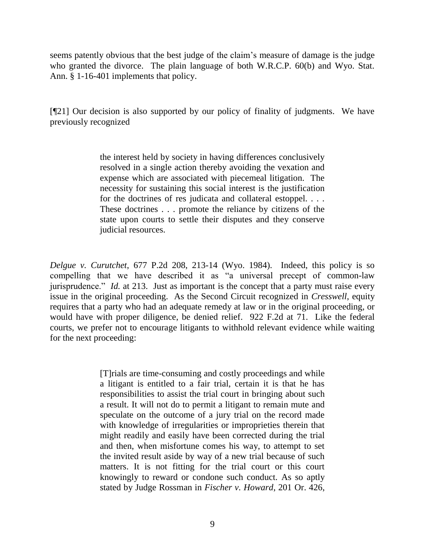seems patently obvious that the best judge of the claim's measure of damage is the judge who granted the divorce. The plain language of both W.R.C.P. 60(b) and Wyo. Stat. Ann. § 1-16-401 implements that policy.

[¶21] Our decision is also supported by our policy of finality of judgments. We have previously recognized

> the interest held by society in having differences conclusively resolved in a single action thereby avoiding the vexation and expense which are associated with piecemeal litigation. The necessity for sustaining this social interest is the justification for the doctrines of res judicata and collateral estoppel. . . . These doctrines . . . promote the reliance by citizens of the state upon courts to settle their disputes and they conserve judicial resources.

*Delgue v. Curutchet*, 677 P.2d 208, 213-14 (Wyo. 1984). Indeed, this policy is so compelling that we have described it as "a universal precept of common-law jurisprudence." *Id.* at 213. Just as important is the concept that a party must raise every issue in the original proceeding. As the Second Circuit recognized in *Cresswell*, equity requires that a party who had an adequate remedy at law or in the original proceeding, or would have with proper diligence, be denied relief. 922 F.2d at 71. Like the federal courts, we prefer not to encourage litigants to withhold relevant evidence while waiting for the next proceeding:

> [T]rials are time-consuming and costly proceedings and while a litigant is entitled to a fair trial, certain it is that he has responsibilities to assist the trial court in bringing about such a result. It will not do to permit a litigant to remain mute and speculate on the outcome of a jury trial on the record made with knowledge of irregularities or improprieties therein that might readily and easily have been corrected during the trial and then, when misfortune comes his way, to attempt to set the invited result aside by way of a new trial because of such matters. It is not fitting for the trial court or this court knowingly to reward or condone such conduct. As so aptly stated by Judge Rossman in *Fischer v. Howard*, 201 Or. 426,